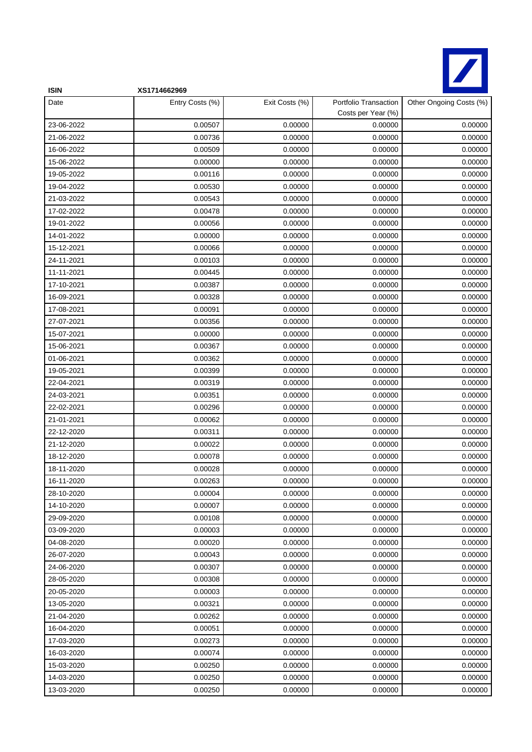

| <b>ISIN</b> | XS1714662969    |                |                                             |                         |
|-------------|-----------------|----------------|---------------------------------------------|-------------------------|
| Date        | Entry Costs (%) | Exit Costs (%) | Portfolio Transaction<br>Costs per Year (%) | Other Ongoing Costs (%) |
| 23-06-2022  | 0.00507         | 0.00000        | 0.00000                                     | 0.00000                 |
| 21-06-2022  | 0.00736         | 0.00000        | 0.00000                                     | 0.00000                 |
| 16-06-2022  | 0.00509         | 0.00000        | 0.00000                                     | 0.00000                 |
| 15-06-2022  | 0.00000         | 0.00000        | 0.00000                                     | 0.00000                 |
| 19-05-2022  | 0.00116         | 0.00000        | 0.00000                                     | 0.00000                 |
| 19-04-2022  | 0.00530         | 0.00000        | 0.00000                                     | 0.00000                 |
| 21-03-2022  | 0.00543         | 0.00000        | 0.00000                                     | 0.00000                 |
| 17-02-2022  | 0.00478         | 0.00000        | 0.00000                                     | 0.00000                 |
| 19-01-2022  | 0.00056         | 0.00000        | 0.00000                                     | 0.00000                 |
| 14-01-2022  | 0.00000         | 0.00000        | 0.00000                                     | 0.00000                 |
| 15-12-2021  | 0.00066         | 0.00000        | 0.00000                                     | 0.00000                 |
| 24-11-2021  | 0.00103         | 0.00000        | 0.00000                                     | 0.00000                 |
| 11-11-2021  | 0.00445         | 0.00000        | 0.00000                                     | 0.00000                 |
| 17-10-2021  | 0.00387         | 0.00000        | 0.00000                                     | 0.00000                 |
| 16-09-2021  | 0.00328         | 0.00000        | 0.00000                                     | 0.00000                 |
| 17-08-2021  | 0.00091         | 0.00000        | 0.00000                                     | 0.00000                 |
| 27-07-2021  | 0.00356         | 0.00000        | 0.00000                                     | 0.00000                 |
| 15-07-2021  | 0.00000         | 0.00000        | 0.00000                                     | 0.00000                 |
| 15-06-2021  | 0.00367         | 0.00000        | 0.00000                                     | 0.00000                 |
| 01-06-2021  | 0.00362         | 0.00000        | 0.00000                                     | 0.00000                 |
| 19-05-2021  | 0.00399         | 0.00000        | 0.00000                                     | 0.00000                 |
| 22-04-2021  | 0.00319         | 0.00000        | 0.00000                                     | 0.00000                 |
| 24-03-2021  | 0.00351         | 0.00000        | 0.00000                                     | 0.00000                 |
| 22-02-2021  | 0.00296         | 0.00000        | 0.00000                                     | 0.00000                 |
| 21-01-2021  | 0.00062         | 0.00000        | 0.00000                                     | 0.00000                 |
| 22-12-2020  | 0.00311         | 0.00000        | 0.00000                                     | 0.00000                 |
| 21-12-2020  | 0.00022         | 0.00000        | 0.00000                                     | 0.00000                 |
| 18-12-2020  | 0.00078         | 0.00000        | 0.00000                                     | 0.00000                 |
| 18-11-2020  | 0.00028         | 0.00000        | 0.00000                                     | 0.00000                 |
| 16-11-2020  | 0.00263         | 0.00000        | 0.00000                                     | 0.00000                 |
| 28-10-2020  | 0.00004         | 0.00000        | 0.00000                                     | 0.00000                 |
| 14-10-2020  | 0.00007         | 0.00000        | 0.00000                                     | 0.00000                 |
| 29-09-2020  | 0.00108         | 0.00000        | 0.00000                                     | 0.00000                 |
| 03-09-2020  | 0.00003         | 0.00000        | 0.00000                                     | 0.00000                 |
| 04-08-2020  | 0.00020         | 0.00000        | 0.00000                                     | 0.00000                 |
| 26-07-2020  | 0.00043         | 0.00000        | 0.00000                                     | 0.00000                 |
| 24-06-2020  | 0.00307         | 0.00000        | 0.00000                                     | 0.00000                 |
| 28-05-2020  | 0.00308         | 0.00000        | 0.00000                                     | 0.00000                 |
| 20-05-2020  | 0.00003         | 0.00000        | 0.00000                                     | 0.00000                 |
| 13-05-2020  | 0.00321         | 0.00000        | 0.00000                                     | 0.00000                 |
| 21-04-2020  | 0.00262         | 0.00000        | 0.00000                                     | 0.00000                 |
| 16-04-2020  | 0.00051         | 0.00000        | 0.00000                                     | 0.00000                 |
| 17-03-2020  | 0.00273         | 0.00000        | 0.00000                                     | 0.00000                 |
| 16-03-2020  | 0.00074         | 0.00000        | 0.00000                                     | 0.00000                 |
| 15-03-2020  | 0.00250         | 0.00000        | 0.00000                                     | 0.00000                 |
| 14-03-2020  | 0.00250         | 0.00000        | 0.00000                                     | 0.00000                 |
| 13-03-2020  | 0.00250         | 0.00000        | 0.00000                                     | 0.00000                 |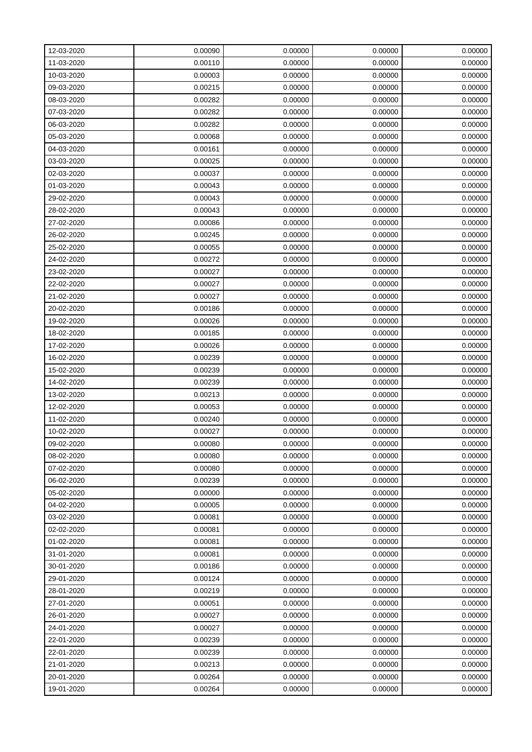| 12-03-2020 | 0.00090 | 0.00000 | 0.00000 | 0.00000 |
|------------|---------|---------|---------|---------|
| 11-03-2020 | 0.00110 | 0.00000 | 0.00000 | 0.00000 |
| 10-03-2020 | 0.00003 | 0.00000 | 0.00000 | 0.00000 |
| 09-03-2020 | 0.00215 | 0.00000 | 0.00000 | 0.00000 |
| 08-03-2020 | 0.00282 | 0.00000 | 0.00000 | 0.00000 |
| 07-03-2020 | 0.00282 | 0.00000 | 0.00000 | 0.00000 |
| 06-03-2020 | 0.00282 | 0.00000 | 0.00000 | 0.00000 |
| 05-03-2020 | 0.00068 | 0.00000 | 0.00000 | 0.00000 |
| 04-03-2020 | 0.00161 | 0.00000 | 0.00000 | 0.00000 |
| 03-03-2020 | 0.00025 | 0.00000 | 0.00000 | 0.00000 |
| 02-03-2020 | 0.00037 | 0.00000 | 0.00000 | 0.00000 |
| 01-03-2020 | 0.00043 | 0.00000 | 0.00000 | 0.00000 |
| 29-02-2020 | 0.00043 | 0.00000 | 0.00000 | 0.00000 |
| 28-02-2020 | 0.00043 | 0.00000 | 0.00000 | 0.00000 |
| 27-02-2020 | 0.00086 | 0.00000 | 0.00000 | 0.00000 |
| 26-02-2020 | 0.00245 | 0.00000 | 0.00000 | 0.00000 |
| 25-02-2020 | 0.00055 | 0.00000 | 0.00000 | 0.00000 |
| 24-02-2020 | 0.00272 | 0.00000 | 0.00000 | 0.00000 |
| 23-02-2020 | 0.00027 | 0.00000 | 0.00000 | 0.00000 |
| 22-02-2020 | 0.00027 | 0.00000 | 0.00000 | 0.00000 |
| 21-02-2020 | 0.00027 | 0.00000 | 0.00000 | 0.00000 |
| 20-02-2020 | 0.00186 | 0.00000 | 0.00000 | 0.00000 |
| 19-02-2020 | 0.00026 | 0.00000 | 0.00000 | 0.00000 |
| 18-02-2020 | 0.00185 | 0.00000 | 0.00000 | 0.00000 |
| 17-02-2020 | 0.00026 | 0.00000 | 0.00000 | 0.00000 |
| 16-02-2020 | 0.00239 | 0.00000 | 0.00000 | 0.00000 |
| 15-02-2020 | 0.00239 | 0.00000 | 0.00000 | 0.00000 |
| 14-02-2020 | 0.00239 | 0.00000 | 0.00000 | 0.00000 |
| 13-02-2020 | 0.00213 | 0.00000 | 0.00000 | 0.00000 |
| 12-02-2020 | 0.00053 | 0.00000 | 0.00000 | 0.00000 |
| 11-02-2020 | 0.00240 | 0.00000 | 0.00000 | 0.00000 |
| 10-02-2020 | 0.00027 | 0.00000 | 0.00000 | 0.00000 |
| 09-02-2020 | 0.00080 | 0.00000 | 0.00000 | 0.00000 |
| 08-02-2020 | 0.00080 | 0.00000 | 0.00000 | 0.00000 |
| 07-02-2020 | 0.00080 | 0.00000 | 0.00000 | 0.00000 |
| 06-02-2020 | 0.00239 | 0.00000 | 0.00000 | 0.00000 |
| 05-02-2020 | 0.00000 | 0.00000 | 0.00000 | 0.00000 |
| 04-02-2020 | 0.00005 | 0.00000 | 0.00000 | 0.00000 |
| 03-02-2020 | 0.00081 | 0.00000 | 0.00000 | 0.00000 |
| 02-02-2020 | 0.00081 | 0.00000 | 0.00000 | 0.00000 |
| 01-02-2020 | 0.00081 | 0.00000 | 0.00000 | 0.00000 |
| 31-01-2020 | 0.00081 | 0.00000 | 0.00000 | 0.00000 |
| 30-01-2020 | 0.00186 | 0.00000 | 0.00000 | 0.00000 |
| 29-01-2020 | 0.00124 | 0.00000 | 0.00000 | 0.00000 |
| 28-01-2020 | 0.00219 | 0.00000 | 0.00000 | 0.00000 |
| 27-01-2020 | 0.00051 | 0.00000 | 0.00000 | 0.00000 |
| 26-01-2020 | 0.00027 | 0.00000 | 0.00000 | 0.00000 |
| 24-01-2020 | 0.00027 | 0.00000 | 0.00000 | 0.00000 |
| 22-01-2020 | 0.00239 | 0.00000 | 0.00000 | 0.00000 |
| 22-01-2020 | 0.00239 | 0.00000 | 0.00000 | 0.00000 |
| 21-01-2020 | 0.00213 | 0.00000 | 0.00000 | 0.00000 |
| 20-01-2020 | 0.00264 | 0.00000 | 0.00000 | 0.00000 |
| 19-01-2020 | 0.00264 | 0.00000 | 0.00000 | 0.00000 |